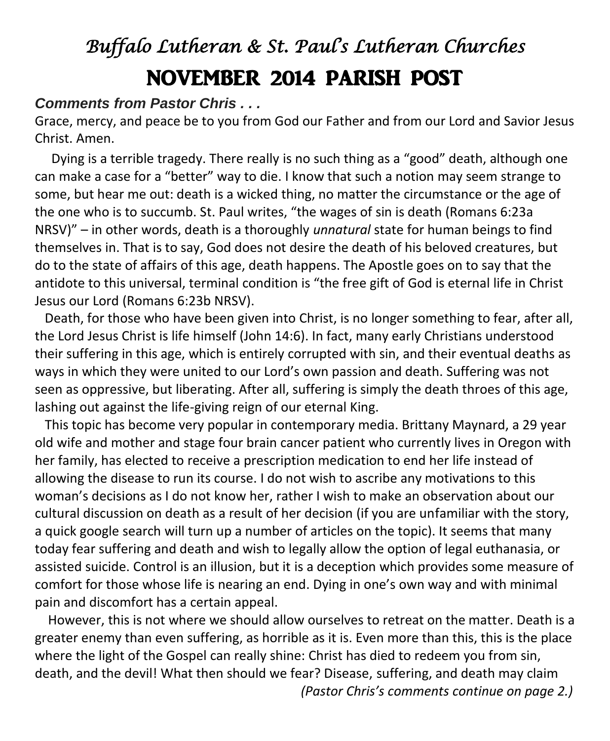# *Buffalo Lutheran & St. Paul's Lutheran Churches*  NOVEMBER 2014 PARISH POST

#### *Comments from Pastor Chris . . .*

Grace, mercy, and peace be to you from God our Father and from our Lord and Savior Jesus Christ. Amen.

 Dying is a terrible tragedy. There really is no such thing as a "good" death, although one can make a case for a "better" way to die. I know that such a notion may seem strange to some, but hear me out: death is a wicked thing, no matter the circumstance or the age of the one who is to succumb. St. Paul writes, "the wages of sin is death (Romans 6:23a NRSV)" – in other words, death is a thoroughly *unnatural* state for human beings to find themselves in. That is to say, God does not desire the death of his beloved creatures, but do to the state of affairs of this age, death happens. The Apostle goes on to say that the antidote to this universal, terminal condition is "the free gift of God is eternal life in Christ Jesus our Lord (Romans 6:23b NRSV).

 Death, for those who have been given into Christ, is no longer something to fear, after all, the Lord Jesus Christ is life himself (John 14:6). In fact, many early Christians understood their suffering in this age, which is entirely corrupted with sin, and their eventual deaths as ways in which they were united to our Lord's own passion and death. Suffering was not seen as oppressive, but liberating. After all, suffering is simply the death throes of this age, lashing out against the life-giving reign of our eternal King.

 This topic has become very popular in contemporary media. Brittany Maynard, a 29 year old wife and mother and stage four brain cancer patient who currently lives in Oregon with her family, has elected to receive a prescription medication to end her life instead of allowing the disease to run its course. I do not wish to ascribe any motivations to this woman's decisions as I do not know her, rather I wish to make an observation about our cultural discussion on death as a result of her decision (if you are unfamiliar with the story, a quick google search will turn up a number of articles on the topic). It seems that many today fear suffering and death and wish to legally allow the option of legal euthanasia, or assisted suicide. Control is an illusion, but it is a deception which provides some measure of comfort for those whose life is nearing an end. Dying in one's own way and with minimal pain and discomfort has a certain appeal.

 However, this is not where we should allow ourselves to retreat on the matter. Death is a greater enemy than even suffering, as horrible as it is. Even more than this, this is the place where the light of the Gospel can really shine: Christ has died to redeem you from sin, death, and the devil! What then should we fear? Disease, suffering, and death may claim

*(Pastor Chris's comments continue on page 2.)*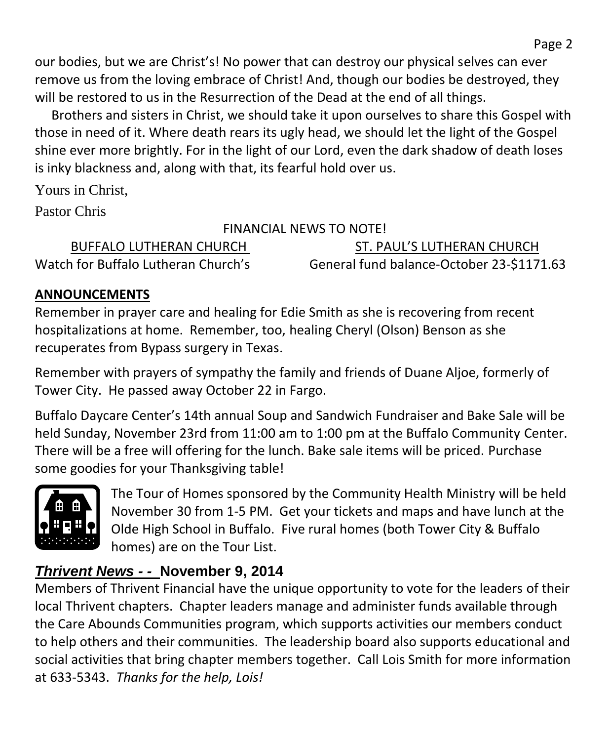our bodies, but we are Christ's! No power that can destroy our physical selves can ever remove us from the loving embrace of Christ! And, though our bodies be destroyed, they will be restored to us in the Resurrection of the Dead at the end of all things.

 Brothers and sisters in Christ, we should take it upon ourselves to share this Gospel with those in need of it. Where death rears its ugly head, we should let the light of the Gospel shine ever more brightly. For in the light of our Lord, even the dark shadow of death loses is inky blackness and, along with that, its fearful hold over us.

Yours in Christ,

Pastor Chris

## FINANCIAL NEWS TO NOTE!

| BUFFALO LUTHERAN CHURCH             | ST. PAUL'S LUTHERAN CHURCH                |
|-------------------------------------|-------------------------------------------|
| Watch for Buffalo Lutheran Church's | General fund balance-October 23-\$1171.63 |

# **ANNOUNCEMENTS**

Remember in prayer care and healing for Edie Smith as she is recovering from recent hospitalizations at home. Remember, too, healing Cheryl (Olson) Benson as she recuperates from Bypass surgery in Texas.

Remember with prayers of sympathy the family and friends of Duane Aljoe, formerly of Tower City. He passed away October 22 in Fargo.

Buffalo Daycare Center's 14th annual Soup and Sandwich Fundraiser and Bake Sale will be held Sunday, November 23rd from 11:00 am to 1:00 pm at the Buffalo Community Center. There will be a free will offering for the lunch. Bake sale items will be priced. Purchase some goodies for your Thanksgiving table!



The Tour of Homes sponsored by the Community Health Ministry will be held November 30 from 1-5 PM. Get your tickets and maps and have lunch at the Olde High School in Buffalo. Five rural homes (both Tower City & Buffalo homes) are on the Tour List.

# *Thrivent News - -* **November 9, 2014**

Members of Thrivent Financial have the unique opportunity to vote for the leaders of their local Thrivent chapters. Chapter leaders manage and administer funds available through the Care Abounds Communities program, which supports activities our members conduct to help others and their communities. The leadership board also supports educational and social activities that bring chapter members together. Call Lois Smith for more information at 633-5343. *Thanks for the help, Lois!*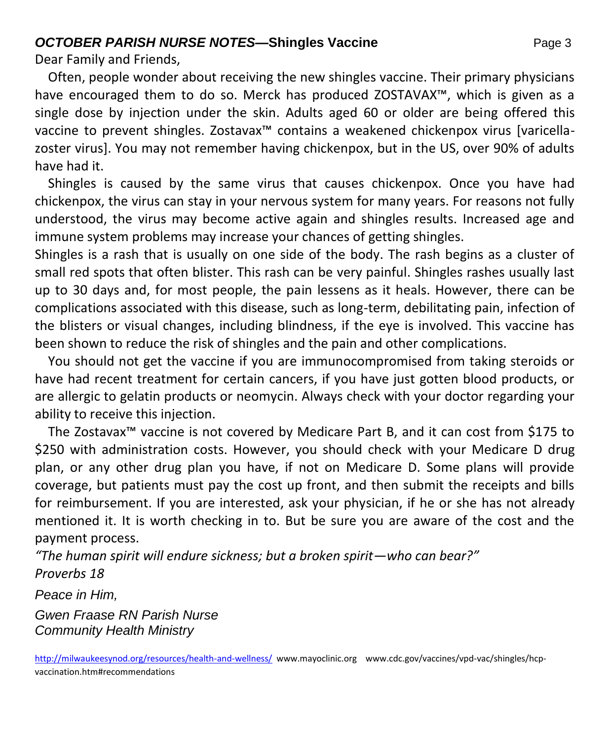#### **OCTOBER PARISH NURSE NOTES—Shingles Vaccine Page 3** Page 3

Dear Family and Friends,

 Often, people wonder about receiving the new shingles vaccine. Their primary physicians have encouraged them to do so. Merck has produced ZOSTAVAX™, which is given as a single dose by injection under the skin. Adults aged 60 or older are being offered this vaccine to prevent shingles. Zostavax™ contains a weakened chickenpox virus [varicellazoster virus]. You may not remember having chickenpox, but in the US, over 90% of adults have had it.

 Shingles is caused by the same virus that causes chickenpox. Once you have had chickenpox, the virus can stay in your nervous system for many years. For reasons not fully understood, the virus may become active again and shingles results. Increased age and immune system problems may increase your chances of getting shingles.

Shingles is a rash that is usually on one side of the body. The rash begins as a cluster of small red spots that often blister. This rash can be very painful. Shingles rashes usually last up to 30 days and, for most people, the pain lessens as it heals. However, there can be complications associated with this disease, such as long-term, debilitating pain, infection of the blisters or visual changes, including blindness, if the eye is involved. This vaccine has been shown to reduce the risk of shingles and the pain and other complications.

 You should not get the vaccine if you are immunocompromised from taking steroids or have had recent treatment for certain cancers, if you have just gotten blood products, or are allergic to gelatin products or neomycin. Always check with your doctor regarding your ability to receive this injection.

 The Zostavax™ vaccine is not covered by Medicare Part B, and it can cost from \$175 to \$250 with administration costs. However, you should check with your Medicare D drug plan, or any other drug plan you have, if not on Medicare D. Some plans will provide coverage, but patients must pay the cost up front, and then submit the receipts and bills for reimbursement. If you are interested, ask your physician, if he or she has not already mentioned it. It is worth checking in to. But be sure you are aware of the cost and the payment process.

*"The human spirit will endure sickness; but a broken spirit—who can bear?"* 

*Proverbs 18*

*Peace in Him,* 

*Gwen Fraase RN Parish Nurse Community Health Ministry*